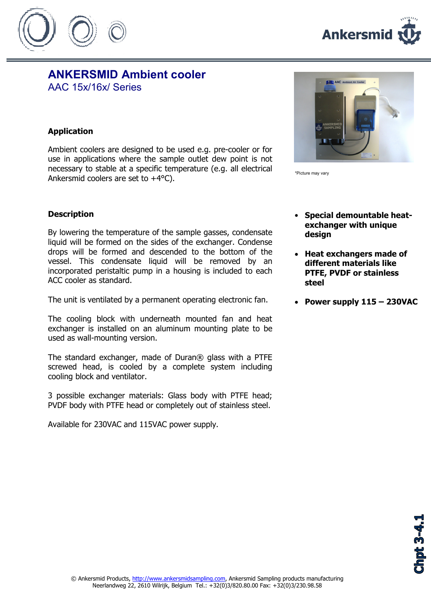



## ANKERSMID Ambient cooler AAC 15x/16x/ Series

## Application

Ambient coolers are designed to be used e.g. pre-cooler or for use in applications where the sample outlet dew point is not necessary to stable at a specific temperature (e.g. all electrical Ankersmid coolers are set to +4°C).



By lowering the temperature of the sample gasses, condensate liquid will be formed on the sides of the exchanger. Condense drops will be formed and descended to the bottom of the vessel. This condensate liquid will be removed by an incorporated peristaltic pump in a housing is included to each ACC cooler as standard.

The unit is ventilated by a permanent operating electronic fan.

The cooling block with underneath mounted fan and heat exchanger is installed on an aluminum mounting plate to be used as wall-mounting version.

The standard exchanger, made of Duran® glass with a PTFE screwed head, is cooled by a complete system including cooling block and ventilator.

3 possible exchanger materials: Glass body with PTFE head; PVDF body with PTFE head or completely out of stainless steel.

Available for 230VAC and 115VAC power supply.

**CHES AAC A** 

\*Picture may vary

- Special demountable heatexchanger with unique desian
- Heat exchangers made of different materials like PTFE, PVDF or stainless steel
- Power supply 115 230VAC